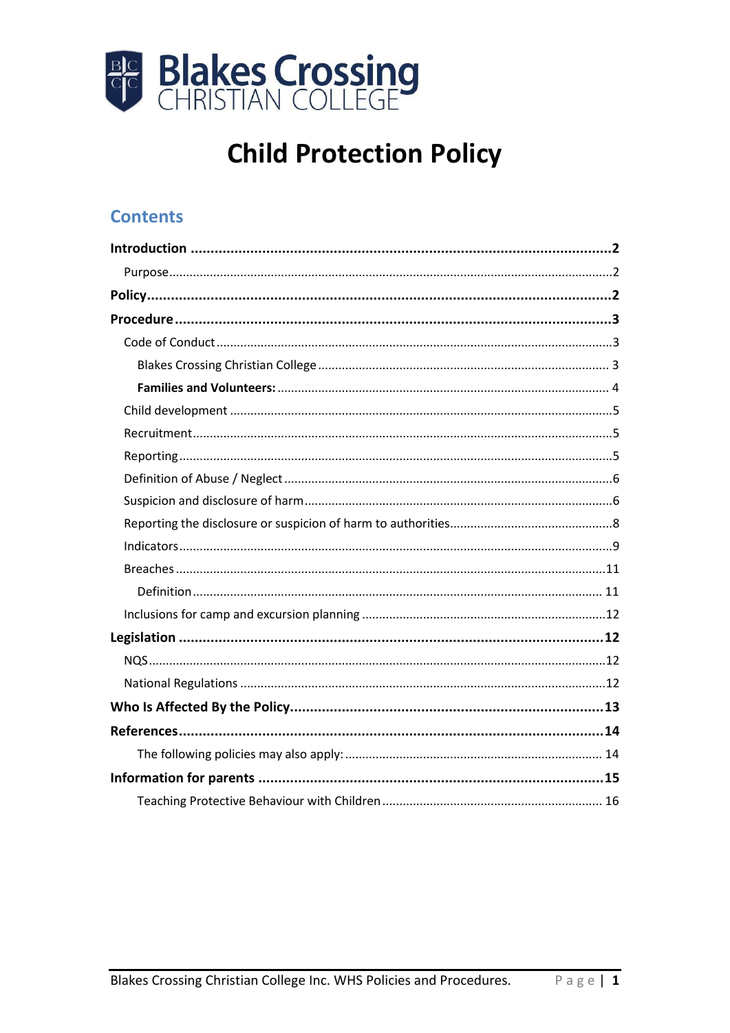

# **Child Protection Policy**

### **Contents**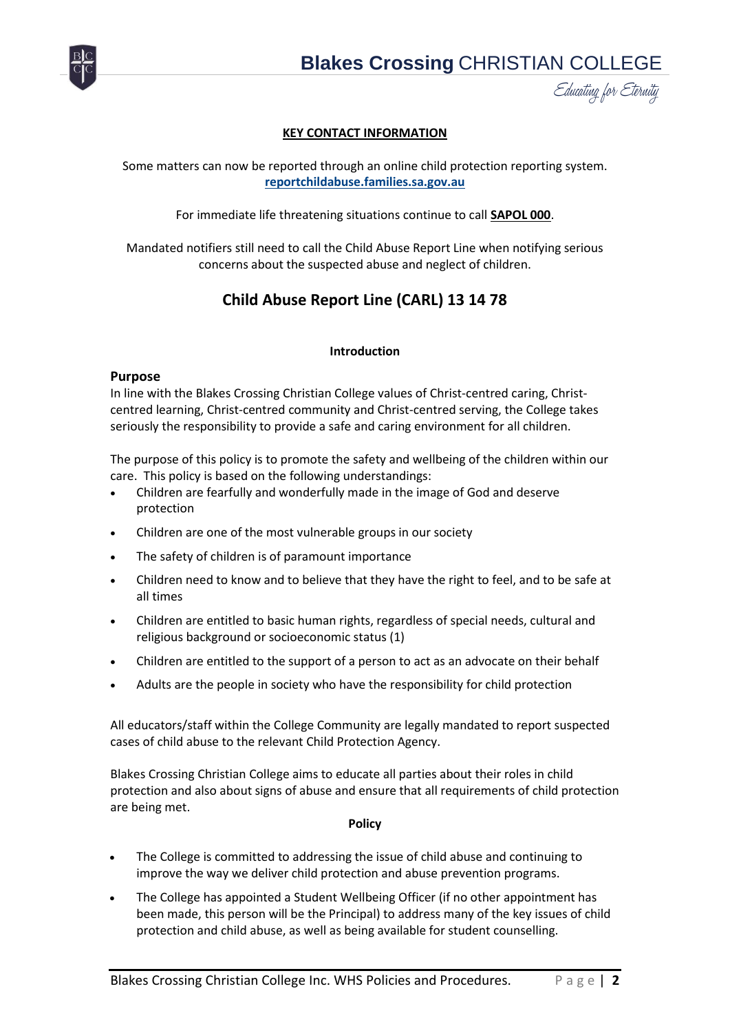

#### **KEY CONTACT INFORMATION**

Some matters can now be reported through an online child protection reporting system. **reportchildabuse.families.sa.gov.au**

For immediate life threatening situations continue to call **SAPOL 000**.

Mandated notifiers still need to call the Child Abuse Report Line when notifying serious concerns about the suspected abuse and neglect of children.

#### **Child Abuse Report Line (CARL) 13 14 78**

#### **Introduction**

#### <span id="page-1-1"></span><span id="page-1-0"></span>**Purpose**

In line with the Blakes Crossing Christian College values of Christ-centred caring, Christcentred learning, Christ-centred community and Christ-centred serving, the College takes seriously the responsibility to provide a safe and caring environment for all children.

The purpose of this policy is to promote the safety and wellbeing of the children within our care. This policy is based on the following understandings:

- Children are fearfully and wonderfully made in the image of God and deserve protection
- Children are one of the most vulnerable groups in our society
- The safety of children is of paramount importance
- Children need to know and to believe that they have the right to feel, and to be safe at all times
- Children are entitled to basic human rights, regardless of special needs, cultural and religious background or socioeconomic status (1)
- Children are entitled to the support of a person to act as an advocate on their behalf
- Adults are the people in society who have the responsibility for child protection

All educators/staff within the College Community are legally mandated to report suspected cases of child abuse to the relevant Child Protection Agency.

Blakes Crossing Christian College aims to educate all parties about their roles in child protection and also about signs of abuse and ensure that all requirements of child protection are being met.

#### **Policy**

- <span id="page-1-2"></span> The College is committed to addressing the issue of child abuse and continuing to improve the way we deliver child protection and abuse prevention programs.
- The College has appointed a Student Wellbeing Officer (if no other appointment has been made, this person will be the Principal) to address many of the key issues of child protection and child abuse, as well as being available for student counselling.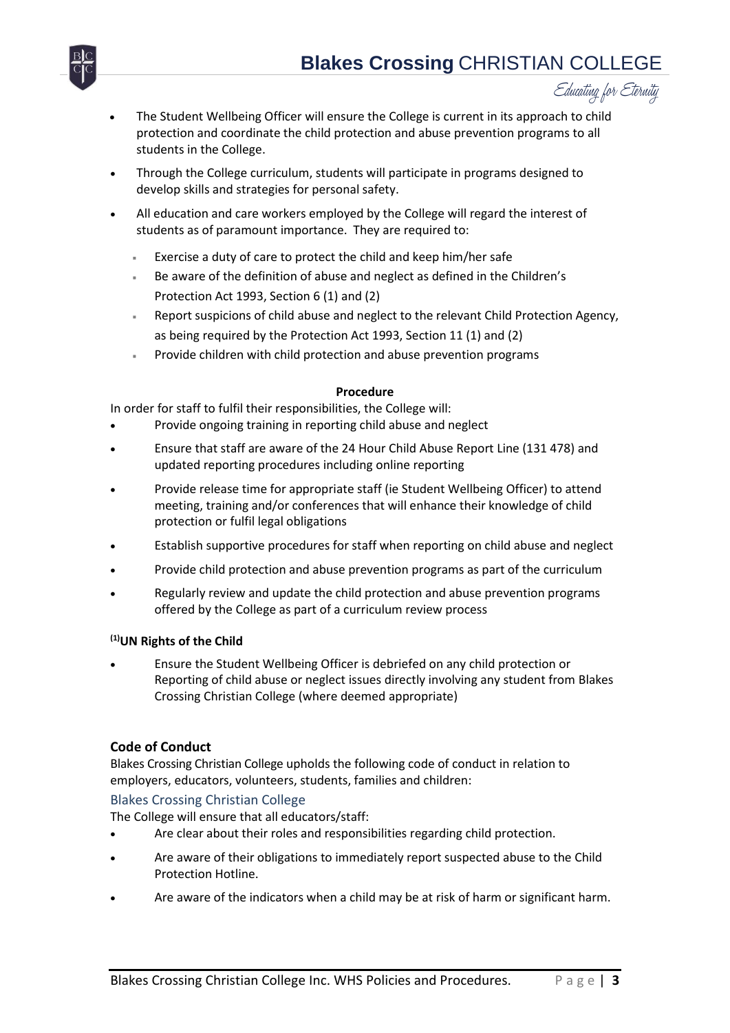

- The Student Wellbeing Officer will ensure the College is current in its approach to child protection and coordinate the child protection and abuse prevention programs to all students in the College.
- Through the College curriculum, students will participate in programs designed to develop skills and strategies for personal safety.
- All education and care workers employed by the College will regard the interest of students as of paramount importance. They are required to:
	- Exercise a duty of care to protect the child and keep him/her safe
	- Be aware of the definition of abuse and neglect as defined in the Children's Protection Act 1993, Section 6 (1) and (2)
	- Report suspicions of child abuse and neglect to the relevant Child Protection Agency, as being required by the Protection Act 1993, Section 11 (1) and (2)
	- Provide children with child protection and abuse prevention programs

#### **Procedure**

<span id="page-2-0"></span>In order for staff to fulfil their responsibilities, the College will:

- Provide ongoing training in reporting child abuse and neglect
- Ensure that staff are aware of the 24 Hour Child Abuse Report Line (131 478) and updated reporting procedures including online reporting
- Provide release time for appropriate staff (ie Student Wellbeing Officer) to attend meeting, training and/or conferences that will enhance their knowledge of child protection or fulfil legal obligations
- Establish supportive procedures for staff when reporting on child abuse and neglect
- Provide child protection and abuse prevention programs as part of the curriculum
- Regularly review and update the child protection and abuse prevention programs offered by the College as part of a curriculum review process

#### **(1)UN Rights of the Child**

 Ensure the Student Wellbeing Officer is debriefed on any child protection or Reporting of child abuse or neglect issues directly involving any student from Blakes Crossing Christian College (where deemed appropriate)

#### <span id="page-2-1"></span>**Code of Conduct**

Blakes Crossing Christian College upholds the following code of conduct in relation to employers, educators, volunteers, students, families and children:

#### <span id="page-2-2"></span>Blakes Crossing Christian College

The College will ensure that all educators/staff:

- Are clear about their roles and responsibilities regarding child protection.
- Are aware of their obligations to immediately report suspected abuse to the Child Protection Hotline.
- Are aware of the indicators when a child may be at risk of harm or significant harm.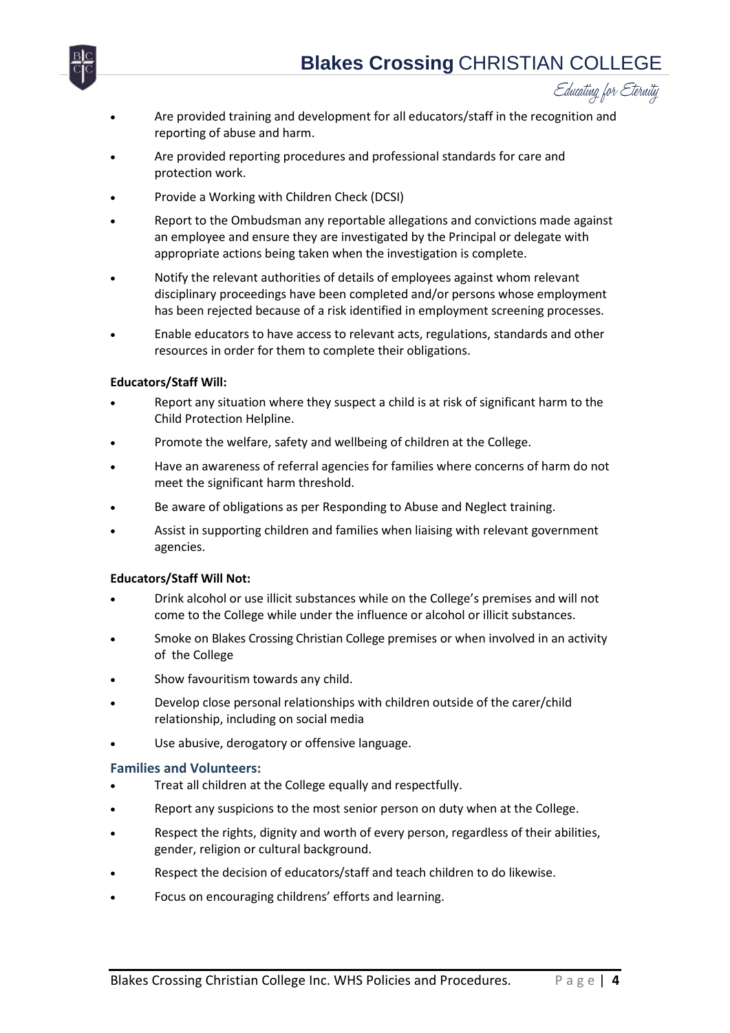



- Are provided training and development for all educators/staff in the recognition and reporting of abuse and harm.
- Are provided reporting procedures and professional standards for care and protection work.
- Provide a Working with Children Check (DCSI)
- Report to the Ombudsman any reportable allegations and convictions made against an employee and ensure they are investigated by the Principal or delegate with appropriate actions being taken when the investigation is complete.
- Notify the relevant authorities of details of employees against whom relevant disciplinary proceedings have been completed and/or persons whose employment has been rejected because of a risk identified in employment screening processes.
- Enable educators to have access to relevant acts, regulations, standards and other resources in order for them to complete their obligations.

#### **Educators/Staff Will:**

- Report any situation where they suspect a child is at risk of significant harm to the Child Protection Helpline.
- Promote the welfare, safety and wellbeing of children at the College.
- Have an awareness of referral agencies for families where concerns of harm do not meet the significant harm threshold.
- Be aware of obligations as per Responding to Abuse and Neglect training.
- Assist in supporting children and families when liaising with relevant government agencies.

#### **Educators/Staff Will Not:**

- Drink alcohol or use illicit substances while on the College's premises and will not come to the College while under the influence or alcohol or illicit substances.
- Smoke on Blakes Crossing Christian College premises or when involved in an activity of the College
- Show favouritism towards any child.
- Develop close personal relationships with children outside of the carer/child relationship, including on social media
- Use abusive, derogatory or offensive language.

#### <span id="page-3-0"></span>**Families and Volunteers:**

- Treat all children at the College equally and respectfully.
- Report any suspicions to the most senior person on duty when at the College.
- Respect the rights, dignity and worth of every person, regardless of their abilities, gender, religion or cultural background.
- Respect the decision of educators/staff and teach children to do likewise.
- Focus on encouraging childrens' efforts and learning.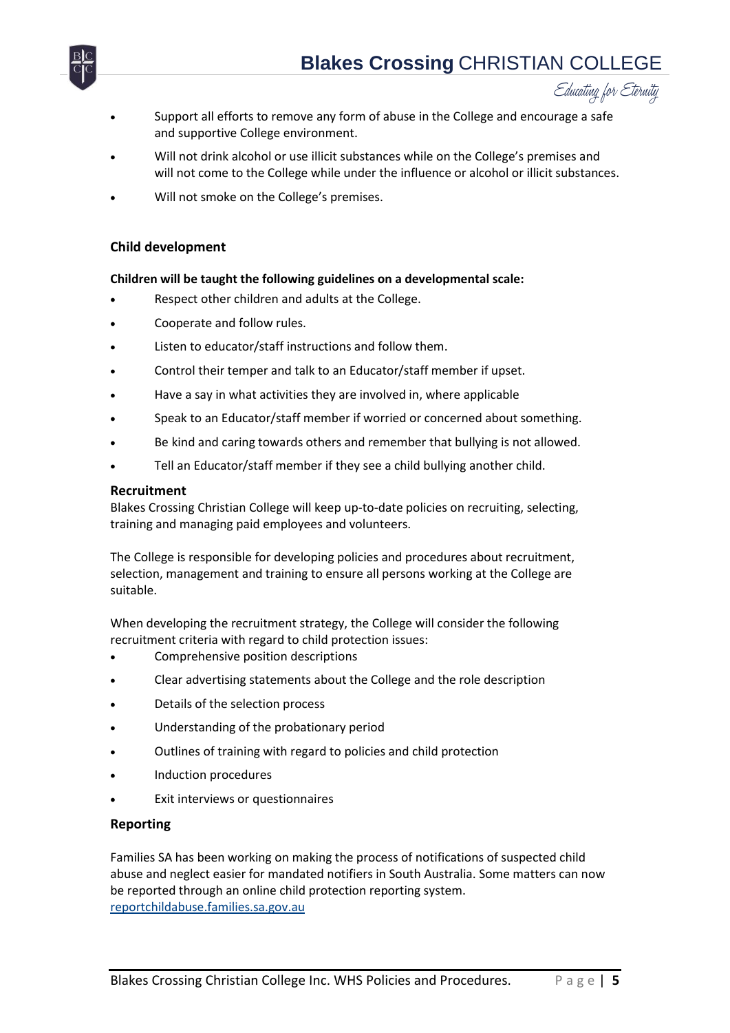

- Support all efforts to remove any form of abuse in the College and encourage a safe and supportive College environment.
- Will not drink alcohol or use illicit substances while on the College's premises and will not come to the College while under the influence or alcohol or illicit substances.
- Will not smoke on the College's premises.

#### <span id="page-4-0"></span>**Child development**

#### **Children will be taught the following guidelines on a developmental scale:**

- Respect other children and adults at the College.
- Cooperate and follow rules.
- Listen to educator/staff instructions and follow them.
- Control their temper and talk to an Educator/staff member if upset.
- Have a say in what activities they are involved in, where applicable
- Speak to an Educator/staff member if worried or concerned about something.
- Be kind and caring towards others and remember that bullying is not allowed.
- Tell an Educator/staff member if they see a child bullying another child.

#### <span id="page-4-1"></span>**Recruitment**

Blakes Crossing Christian College will keep up-to-date policies on recruiting, selecting, training and managing paid employees and volunteers.

The College is responsible for developing policies and procedures about recruitment, selection, management and training to ensure all persons working at the College are suitable.

When developing the recruitment strategy, the College will consider the following recruitment criteria with regard to child protection issues:

- Comprehensive position descriptions
- Clear advertising statements about the College and the role description
- Details of the selection process
- Understanding of the probationary period
- Outlines of training with regard to policies and child protection
- Induction procedures
- Exit interviews or questionnaires

#### <span id="page-4-2"></span>**Reporting**

Families SA has been working on making the process of notifications of suspected child abuse and neglect easier for mandated notifiers in South Australia. Some matters can now be reported through an online child protection reporting system. reportchildabuse.families.sa.gov.au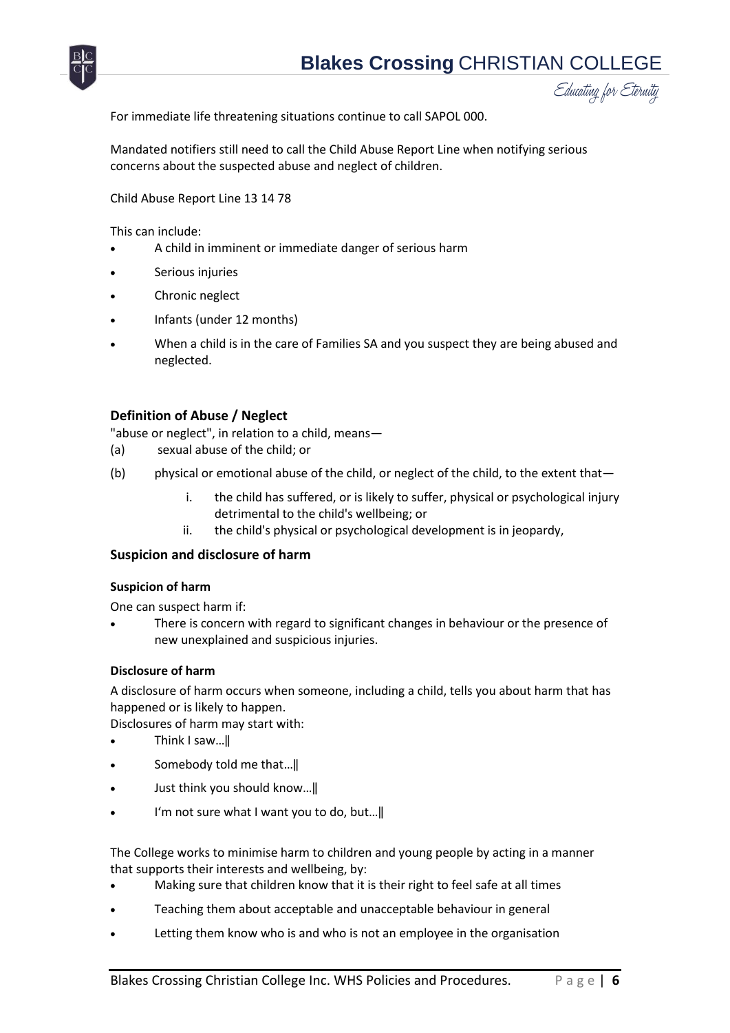

For immediate life threatening situations continue to call SAPOL 000.

Mandated notifiers still need to call the Child Abuse Report Line when notifying serious concerns about the suspected abuse and neglect of children.

Child Abuse Report Line 13 14 78

This can include:

- A child in imminent or immediate danger of serious harm
- Serious injuries
- Chronic neglect
- Infants (under 12 months)
- When a child is in the care of Families SA and you suspect they are being abused and neglected.

#### <span id="page-5-0"></span>**Definition of Abuse / Neglect**

"abuse or neglect", in relation to a child, means—

- (a) sexual abuse of the child; or
- (b) physical or emotional abuse of the child, or neglect of the child, to the extent that
	- i. the child has suffered, or is likely to suffer, physical or psychological injury detrimental to the child's wellbeing; or
	- ii. the child's physical or psychological development is in jeopardy,

#### <span id="page-5-1"></span>**Suspicion and disclosure of harm**

#### **Suspicion of harm**

One can suspect harm if:

 There is concern with regard to significant changes in behaviour or the presence of new unexplained and suspicious injuries.

#### **Disclosure of harm**

A disclosure of harm occurs when someone, including a child, tells you about harm that has happened or is likely to happen.

Disclosures of harm may start with:

- Think I saw...
- Somebody told me that...
- Just think you should know…‖
- I'm not sure what I want you to do, but…‖

The College works to minimise harm to children and young people by acting in a manner that supports their interests and wellbeing, by:

- Making sure that children know that it is their right to feel safe at all times
- Teaching them about acceptable and unacceptable behaviour in general
- Letting them know who is and who is not an employee in the organisation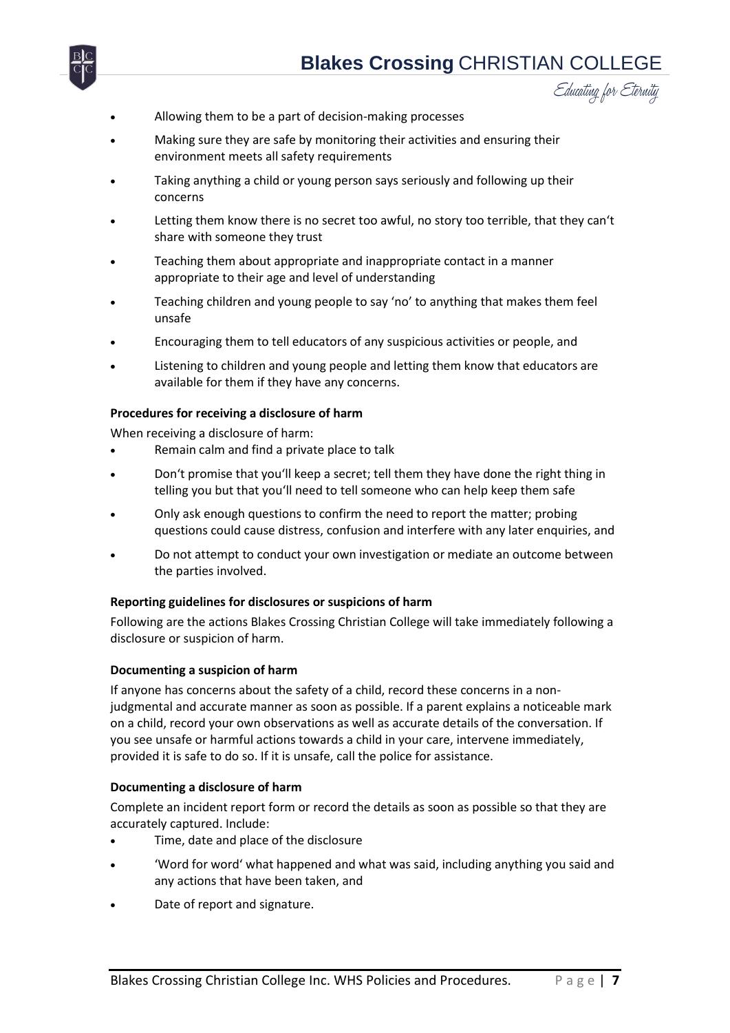

- Educating for Eternity
- Allowing them to be a part of decision-making processes
- Making sure they are safe by monitoring their activities and ensuring their environment meets all safety requirements
- Taking anything a child or young person says seriously and following up their concerns
- Letting them know there is no secret too awful, no story too terrible, that they can't share with someone they trust
- Teaching them about appropriate and inappropriate contact in a manner appropriate to their age and level of understanding
- Teaching children and young people to say 'no' to anything that makes them feel unsafe
- Encouraging them to tell educators of any suspicious activities or people, and
- Listening to children and young people and letting them know that educators are available for them if they have any concerns.

#### **Procedures for receiving a disclosure of harm**

When receiving a disclosure of harm:

- Remain calm and find a private place to talk
- Don't promise that you'll keep a secret; tell them they have done the right thing in telling you but that you'll need to tell someone who can help keep them safe
- Only ask enough questions to confirm the need to report the matter; probing questions could cause distress, confusion and interfere with any later enquiries, and
- Do not attempt to conduct your own investigation or mediate an outcome between the parties involved.

#### **Reporting guidelines for disclosures or suspicions of harm**

Following are the actions Blakes Crossing Christian College will take immediately following a disclosure or suspicion of harm.

#### **Documenting a suspicion of harm**

If anyone has concerns about the safety of a child, record these concerns in a nonjudgmental and accurate manner as soon as possible. If a parent explains a noticeable mark on a child, record your own observations as well as accurate details of the conversation. If you see unsafe or harmful actions towards a child in your care, intervene immediately, provided it is safe to do so. If it is unsafe, call the police for assistance.

#### **Documenting a disclosure of harm**

Complete an incident report form or record the details as soon as possible so that they are accurately captured. Include:

- Time, date and place of the disclosure
- 'Word for word' what happened and what was said, including anything you said and any actions that have been taken, and
- Date of report and signature.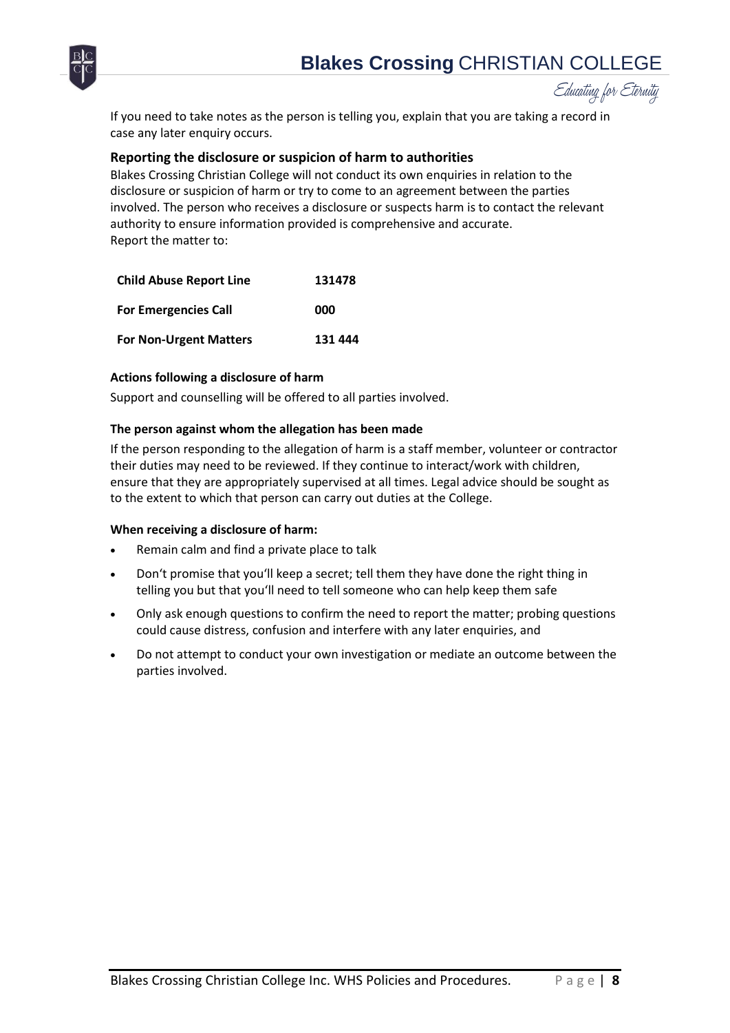# **Blakes Crossing** CHRISTIAN COLLEGE



Educating for Eternity

If you need to take notes as the person is telling you, explain that you are taking a record in case any later enquiry occurs.

#### <span id="page-7-0"></span>**Reporting the disclosure or suspicion of harm to authorities**

Blakes Crossing Christian College will not conduct its own enquiries in relation to the disclosure or suspicion of harm or try to come to an agreement between the parties involved. The person who receives a disclosure or suspects harm is to contact the relevant authority to ensure information provided is comprehensive and accurate. Report the matter to:

| <b>Child Abuse Report Line</b> | 131478  |
|--------------------------------|---------|
| <b>For Emergencies Call</b>    | 000     |
| <b>For Non-Urgent Matters</b>  | 131 444 |

#### **Actions following a disclosure of harm**

Support and counselling will be offered to all parties involved.

#### **The person against whom the allegation has been made**

If the person responding to the allegation of harm is a staff member, volunteer or contractor their duties may need to be reviewed. If they continue to interact/work with children, ensure that they are appropriately supervised at all times. Legal advice should be sought as to the extent to which that person can carry out duties at the College.

#### **When receiving a disclosure of harm:**

- Remain calm and find a private place to talk
- Don't promise that you'll keep a secret; tell them they have done the right thing in telling you but that you'll need to tell someone who can help keep them safe
- Only ask enough questions to confirm the need to report the matter; probing questions could cause distress, confusion and interfere with any later enquiries, and
- Do not attempt to conduct your own investigation or mediate an outcome between the parties involved.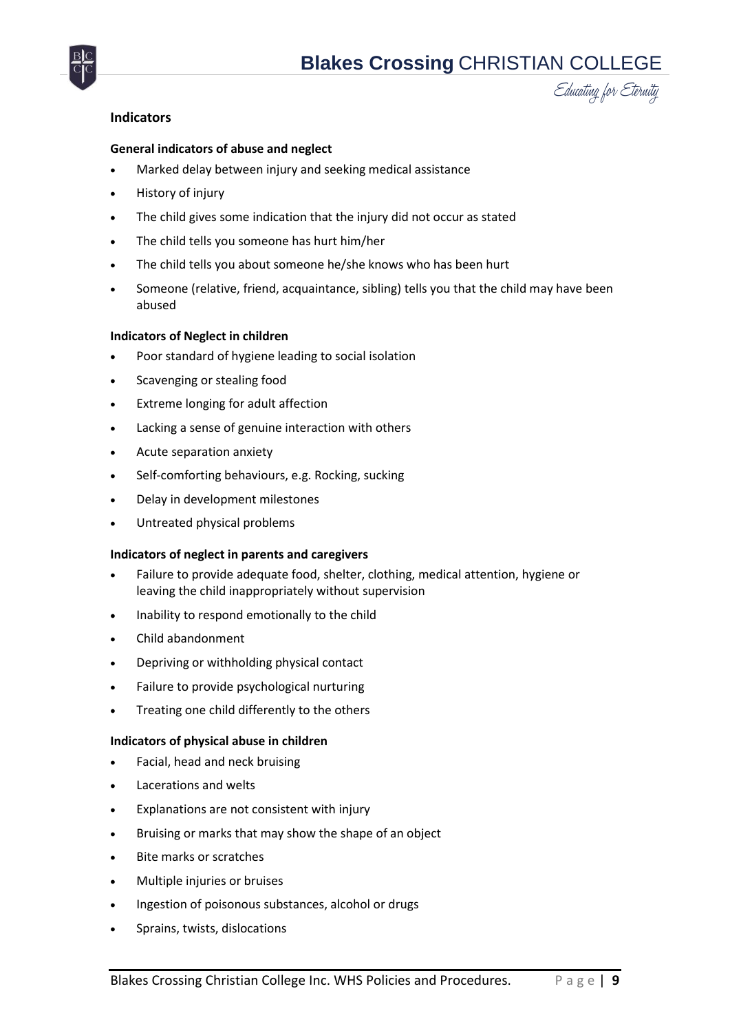

#### <span id="page-8-0"></span>**Indicators**

#### **General indicators of abuse and neglect**

- Marked delay between injury and seeking medical assistance
- History of injury
- The child gives some indication that the injury did not occur as stated
- The child tells you someone has hurt him/her
- The child tells you about someone he/she knows who has been hurt
- Someone (relative, friend, acquaintance, sibling) tells you that the child may have been abused

#### **Indicators of Neglect in children**

- Poor standard of hygiene leading to social isolation
- Scavenging or stealing food
- Extreme longing for adult affection
- Lacking a sense of genuine interaction with others
- Acute separation anxiety
- Self-comforting behaviours, e.g. Rocking, sucking
- Delay in development milestones
- Untreated physical problems

#### **Indicators of neglect in parents and caregivers**

- Failure to provide adequate food, shelter, clothing, medical attention, hygiene or leaving the child inappropriately without supervision
- Inability to respond emotionally to the child
- Child abandonment
- Depriving or withholding physical contact
- Failure to provide psychological nurturing
- Treating one child differently to the others

#### **Indicators of physical abuse in children**

- Facial, head and neck bruising
- Lacerations and welts
- Explanations are not consistent with injury
- Bruising or marks that may show the shape of an object
- Bite marks or scratches
- Multiple injuries or bruises
- Ingestion of poisonous substances, alcohol or drugs
- Sprains, twists, dislocations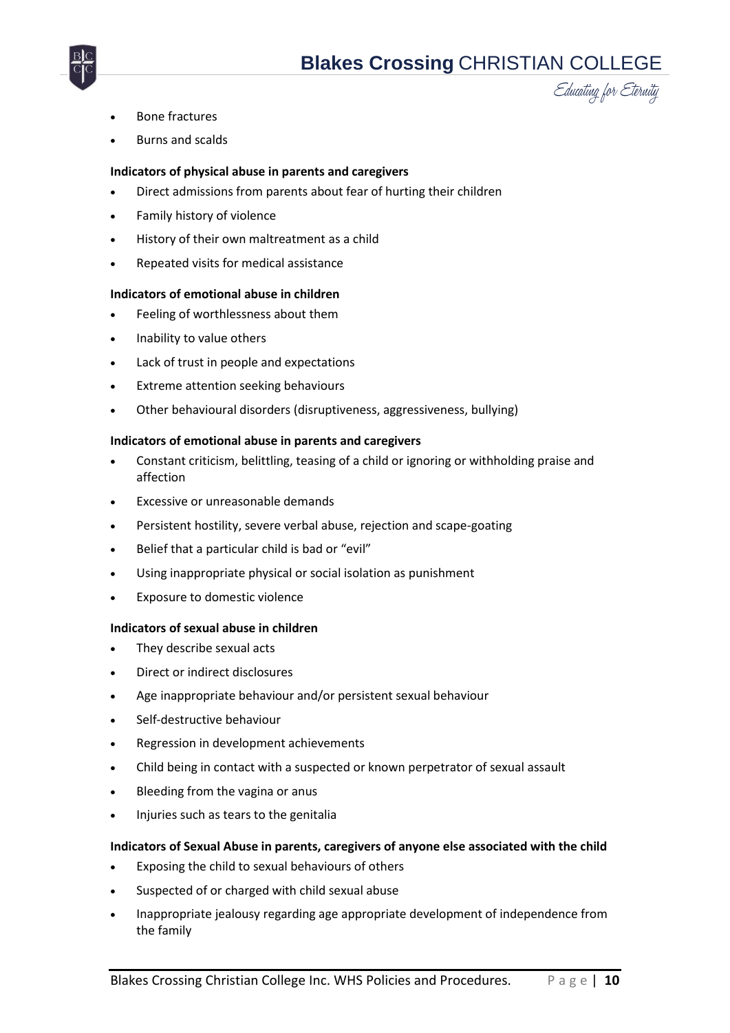

- Bone fractures
- Burns and scalds

#### **Indicators of physical abuse in parents and caregivers**

- Direct admissions from parents about fear of hurting their children
- Family history of violence
- History of their own maltreatment as a child

# Repeated visits for medical assistance

#### **Indicators of emotional abuse in children**

- Feeling of worthlessness about them
- Inability to value others
- Lack of trust in people and expectations
- Extreme attention seeking behaviours
- Other behavioural disorders (disruptiveness, aggressiveness, bullying)

#### **Indicators of emotional abuse in parents and caregivers**

- Constant criticism, belittling, teasing of a child or ignoring or withholding praise and affection
- Excessive or unreasonable demands
- Persistent hostility, severe verbal abuse, rejection and scape-goating
- Belief that a particular child is bad or "evil"
- Using inappropriate physical or social isolation as punishment
- Exposure to domestic violence

#### **Indicators of sexual abuse in children**

- They describe sexual acts
- Direct or indirect disclosures
- Age inappropriate behaviour and/or persistent sexual behaviour
- Self-destructive behaviour
- Regression in development achievements
- Child being in contact with a suspected or known perpetrator of sexual assault
- Bleeding from the vagina or anus
- Injuries such as tears to the genitalia

#### **Indicators of Sexual Abuse in parents, caregivers of anyone else associated with the child**

- Exposing the child to sexual behaviours of others
- Suspected of or charged with child sexual abuse
- Inappropriate jealousy regarding age appropriate development of independence from the family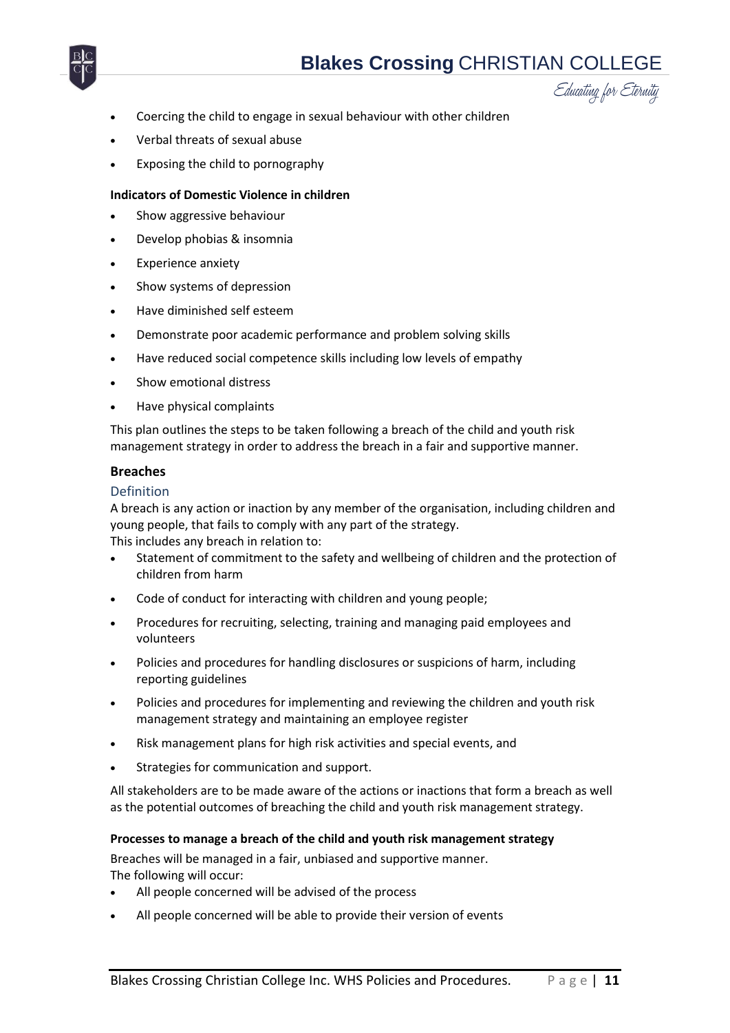



- Coercing the child to engage in sexual behaviour with other children
- Verbal threats of sexual abuse
- Exposing the child to pornography

#### **Indicators of Domestic Violence in children**

- Show aggressive behaviour
- Develop phobias & insomnia
- Experience anxiety
- Show systems of depression
- Have diminished self esteem
- Demonstrate poor academic performance and problem solving skills
- Have reduced social competence skills including low levels of empathy
- Show emotional distress
- Have physical complaints

This plan outlines the steps to be taken following a breach of the child and youth risk management strategy in order to address the breach in a fair and supportive manner.

#### <span id="page-10-0"></span>**Breaches**

#### <span id="page-10-1"></span>Definition

A breach is any action or inaction by any member of the organisation, including children and young people, that fails to comply with any part of the strategy.

This includes any breach in relation to:

- Statement of commitment to the safety and wellbeing of children and the protection of children from harm
- Code of conduct for interacting with children and young people;
- Procedures for recruiting, selecting, training and managing paid employees and volunteers
- Policies and procedures for handling disclosures or suspicions of harm, including reporting guidelines
- Policies and procedures for implementing and reviewing the children and youth risk management strategy and maintaining an employee register
- Risk management plans for high risk activities and special events, and
- Strategies for communication and support.

All stakeholders are to be made aware of the actions or inactions that form a breach as well as the potential outcomes of breaching the child and youth risk management strategy.

#### **Processes to manage a breach of the child and youth risk management strategy**

Breaches will be managed in a fair, unbiased and supportive manner. The following will occur:

- All people concerned will be advised of the process
- All people concerned will be able to provide their version of events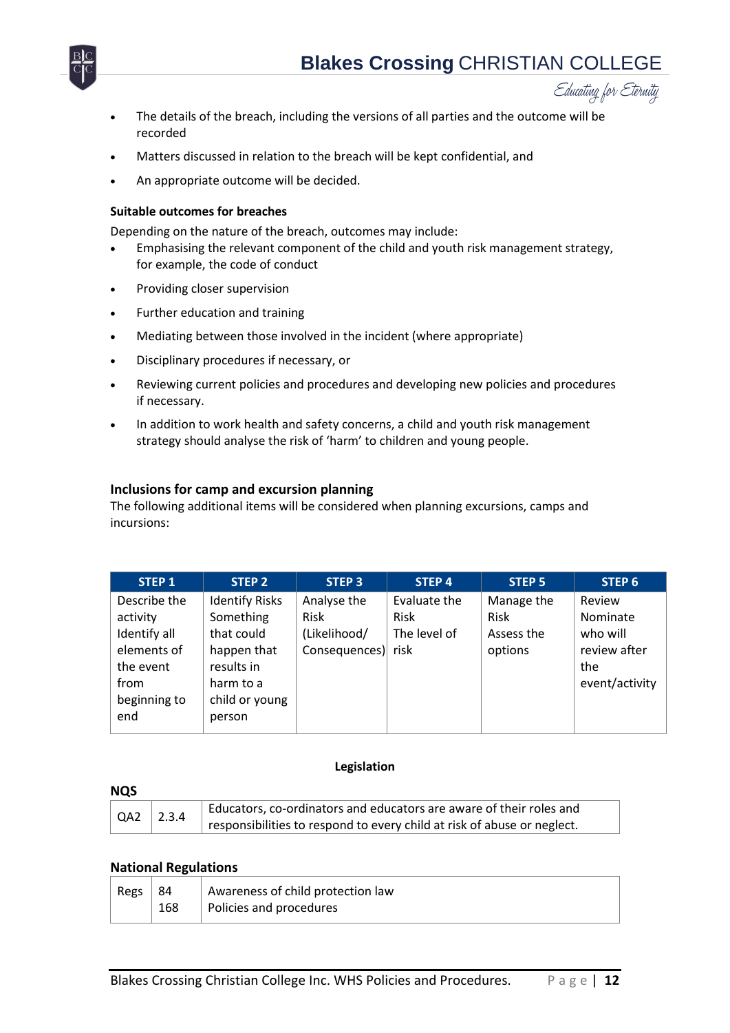



- The details of the breach, including the versions of all parties and the outcome will be recorded
- Matters discussed in relation to the breach will be kept confidential, and
- An appropriate outcome will be decided.

#### **Suitable outcomes for breaches**

Depending on the nature of the breach, outcomes may include:

- Emphasising the relevant component of the child and youth risk management strategy, for example, the code of conduct
- Providing closer supervision
- Further education and training
- Mediating between those involved in the incident (where appropriate)
- Disciplinary procedures if necessary, or
- Reviewing current policies and procedures and developing new policies and procedures if necessary.
- In addition to work health and safety concerns, a child and youth risk management strategy should analyse the risk of 'harm' to children and young people.

#### <span id="page-11-0"></span>**Inclusions for camp and excursion planning**

The following additional items will be considered when planning excursions, camps and incursions:

| <b>STEP 1</b> | STEP <sub>2</sub>     | <b>STEP 3</b>      | <b>STEP 4</b> | <b>STEP 5</b> | STEP <sub>6</sub> |
|---------------|-----------------------|--------------------|---------------|---------------|-------------------|
| Describe the  | <b>Identify Risks</b> | Analyse the        | Evaluate the  | Manage the    | Review            |
| activity      | Something             | <b>Risk</b>        | Risk          | <b>Risk</b>   | Nominate          |
| Identify all  | that could            | (Likelihood/       | The level of  | Assess the    | who will          |
| elements of   | happen that           | Consequences) risk |               | options       | review after      |
| the event     | results in            |                    |               |               | the               |
| from          | harm to a             |                    |               |               | event/activity    |
| beginning to  | child or young        |                    |               |               |                   |
| end           | person                |                    |               |               |                   |

#### **Legislation**

<span id="page-11-2"></span><span id="page-11-1"></span>

| <b>NQS</b>        |                    |                                                                         |
|-------------------|--------------------|-------------------------------------------------------------------------|
| $\overline{)$ QA2 | $\overline{2.3.4}$ | Educators, co-ordinators and educators are aware of their roles and     |
|                   |                    | responsibilities to respond to every child at risk of abuse or neglect. |

#### <span id="page-11-3"></span>**National Regulations**

| Regs | -84 | Awareness of child protection law |
|------|-----|-----------------------------------|
|      | 168 | Policies and procedures           |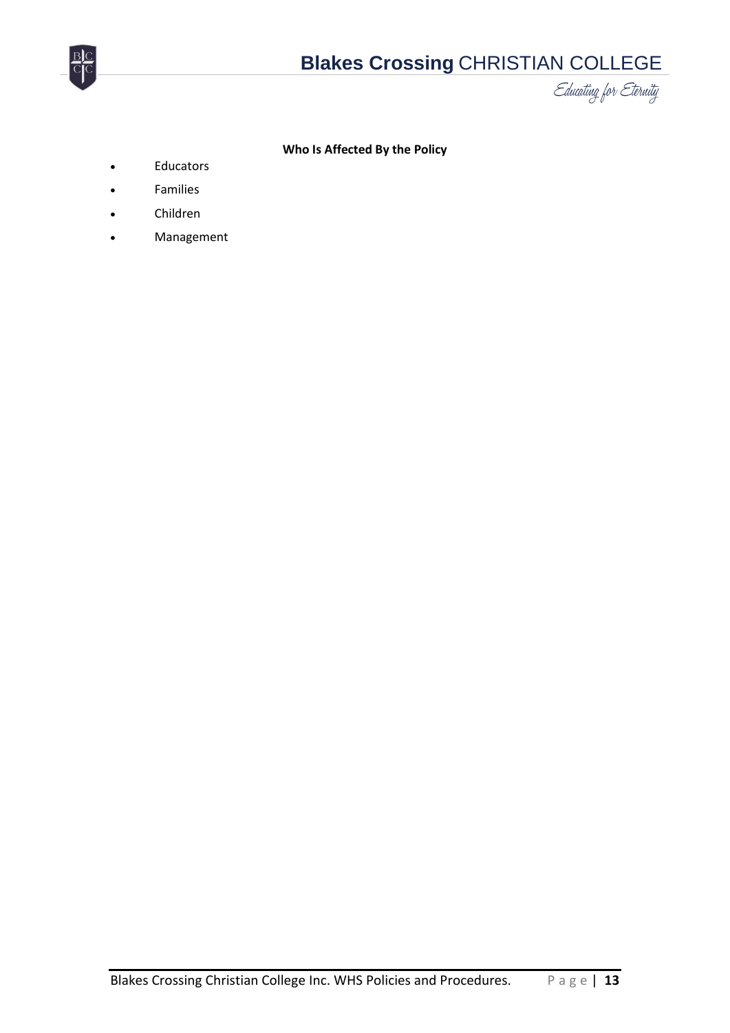

#### **Who Is Affected By the Policy**

- <span id="page-12-0"></span>Educators
- Families
- Children
- Management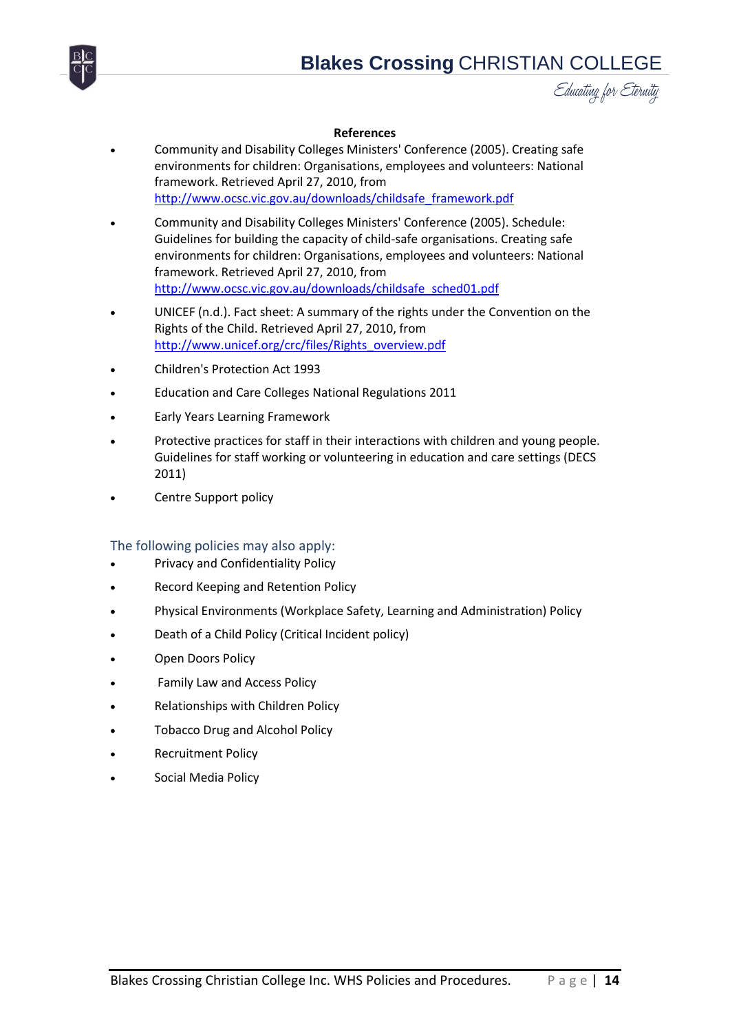



#### **References**

- <span id="page-13-0"></span> Community and Disability Colleges Ministers' Conference (2005). Creating safe environments for children: Organisations, employees and volunteers: National framework. Retrieved April 27, 2010, from [http://www.ocsc.vic.gov.au/downloads/childsafe\\_framework.pdf](http://www.ocsc.vic.gov.au/downloads/childsafe_framework.pdf)
- Community and Disability Colleges Ministers' Conference (2005). Schedule: Guidelines for building the capacity of child-safe organisations. Creating safe environments for children: Organisations, employees and volunteers: National framework. Retrieved April 27, 2010, from [http://www.ocsc.vic.gov.au/downloads/childsafe\\_sched01.pdf](http://www.ocsc.vic.gov.au/downloads/childsafe_sched01.pdf)
- UNICEF (n.d.). Fact sheet: A summary of the rights under the Convention on the Rights of the Child. Retrieved April 27, 2010, from [http://www.unicef.org/crc/files/Rights\\_overview.pdf](http://www.unicef.org/crc/files/Rights_overview.pdf)
- Children's Protection Act 1993
- Education and Care Colleges National Regulations 2011
- Early Years Learning Framework
- Protective practices for staff in their interactions with children and young people. Guidelines for staff working or volunteering in education and care settings (DECS 2011)
- Centre Support policy

#### <span id="page-13-1"></span>The following policies may also apply:

- Privacy and Confidentiality Policy
- Record Keeping and Retention Policy
- Physical Environments (Workplace Safety, Learning and Administration) Policy
- Death of a Child Policy (Critical Incident policy)
- Open Doors Policy
- Family Law and Access Policy
- Relationships with Children Policy
- Tobacco Drug and Alcohol Policy
- Recruitment Policy
- Social Media Policy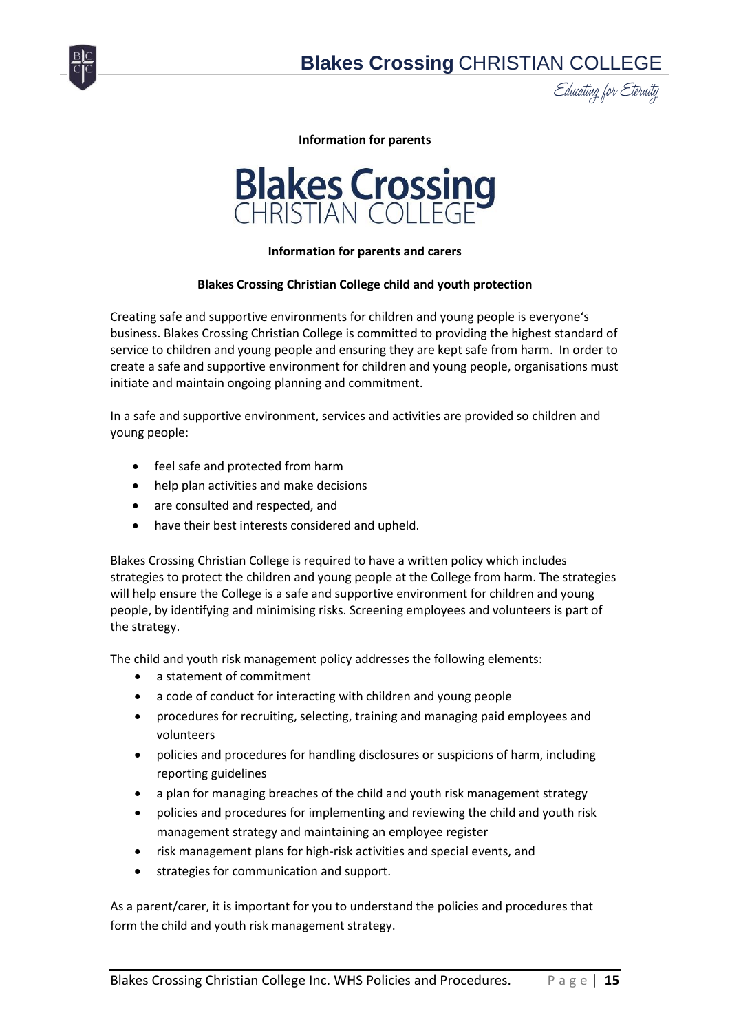<span id="page-14-0"></span>



**Information for parents**



#### **Information for parents and carers**

#### **Blakes Crossing Christian College child and youth protection**

Creating safe and supportive environments for children and young people is everyone's business. Blakes Crossing Christian College is committed to providing the highest standard of service to children and young people and ensuring they are kept safe from harm. In order to create a safe and supportive environment for children and young people, organisations must initiate and maintain ongoing planning and commitment.

In a safe and supportive environment, services and activities are provided so children and young people:

- feel safe and protected from harm
- help plan activities and make decisions
- are consulted and respected, and
- have their best interests considered and upheld.

Blakes Crossing Christian College is required to have a written policy which includes strategies to protect the children and young people at the College from harm. The strategies will help ensure the College is a safe and supportive environment for children and young people, by identifying and minimising risks. Screening employees and volunteers is part of the strategy.

The child and youth risk management policy addresses the following elements:

- a statement of commitment
- a code of conduct for interacting with children and young people
- procedures for recruiting, selecting, training and managing paid employees and volunteers
- policies and procedures for handling disclosures or suspicions of harm, including reporting guidelines
- a plan for managing breaches of the child and youth risk management strategy
- policies and procedures for implementing and reviewing the child and youth risk management strategy and maintaining an employee register
- risk management plans for high-risk activities and special events, and
- strategies for communication and support.

As a parent/carer, it is important for you to understand the policies and procedures that form the child and youth risk management strategy.